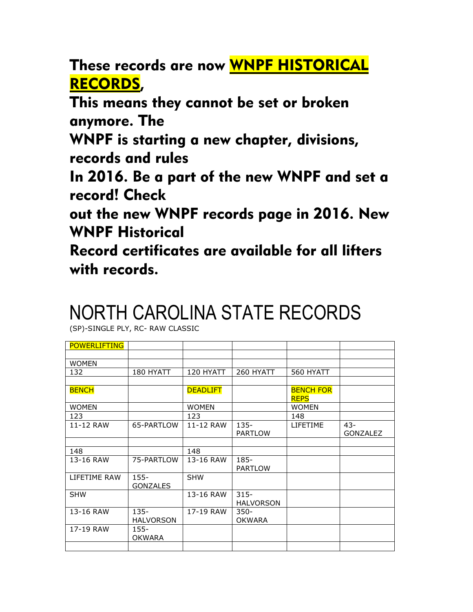These records are now WNPF HISTORICAL RECORDS,

This means they cannot be set or broken anymore. The

WNPF is starting a new chapter, divisions, records and rules

In 2016. Be a part of the new WNPF and set a record! Check

out the new WNPF records page in 2016. New WNPF Historical

Record certificates are available for all lifters with records.

## NORTH CAROLINA STATE RECORDS

(SP)-SINGLE PLY, RC- RAW CLASSIC

| <b>POWERLIFTING</b> |                             |                 |                             |                                 |                 |
|---------------------|-----------------------------|-----------------|-----------------------------|---------------------------------|-----------------|
|                     |                             |                 |                             |                                 |                 |
| <b>WOMEN</b>        |                             |                 |                             |                                 |                 |
| 132                 | 180 HYATT                   | 120 HYATT       | 260 HYATT                   | 560 HYATT                       |                 |
|                     |                             |                 |                             |                                 |                 |
| <b>BENCH</b>        |                             | <b>DEADLIFT</b> |                             | <b>BENCH FOR</b><br><b>REPS</b> |                 |
| <b>WOMEN</b>        |                             | <b>WOMEN</b>    |                             | <b>WOMEN</b>                    |                 |
| 123                 |                             | 123             |                             | 148                             |                 |
| 11-12 RAW           | 65-PARTLOW                  | 11-12 RAW       | $135 -$                     | <b>LIFETIME</b>                 | $43 -$          |
|                     |                             |                 | <b>PARTLOW</b>              |                                 | <b>GONZALEZ</b> |
|                     |                             |                 |                             |                                 |                 |
| 148                 |                             | 148             |                             |                                 |                 |
| 13-16 RAW           | 75-PARTLOW                  | 13-16 RAW       | 185-<br><b>PARTLOW</b>      |                                 |                 |
| LIFETIME RAW        | $155 -$<br><b>GONZALES</b>  | <b>SHW</b>      |                             |                                 |                 |
| <b>SHW</b>          |                             | 13-16 RAW       | $315 -$<br><b>HALVORSON</b> |                                 |                 |
| 13-16 RAW           | $135 -$<br><b>HALVORSON</b> | 17-19 RAW       | $350 -$<br><b>OKWARA</b>    |                                 |                 |
| 17-19 RAW           | $155 -$<br><b>OKWARA</b>    |                 |                             |                                 |                 |
|                     |                             |                 |                             |                                 |                 |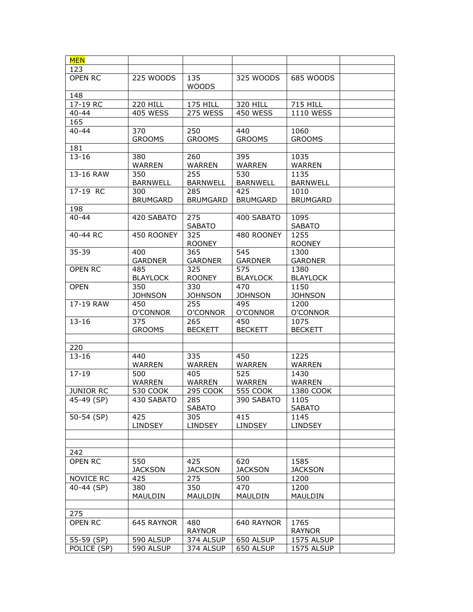| 123<br>135<br>OPEN RC<br>225 WOODS<br>325 WOODS<br>685 WOODS<br><b>WOODS</b><br>148<br>17-19 RC<br><b>220 HILL</b><br>175 HILL<br>320 HILL<br><b>715 HILL</b><br><b>405 WESS</b><br>275 WESS<br><b>450 WESS</b><br>$40 - 44$<br><b>1110 WESS</b><br>165<br>$40 - 44$<br>370<br>250<br>440<br>1060<br><b>GROOMS</b><br><b>GROOMS</b><br><b>GROOMS</b><br><b>GROOMS</b><br>181<br>$13 - 16$<br>380<br>260<br>395<br>1035<br><b>WARREN</b><br>WARREN<br><b>WARREN</b><br>WARREN<br>255<br>350<br>530<br>1135<br>13-16 RAW<br><b>BARNWELL</b><br><b>BARNWELL</b><br><b>BARNWELL</b><br><b>BARNWELL</b><br>17-19 RC<br>300<br>285<br>425<br>1010<br><b>BRUMGARD</b><br><b>BRUMGARD</b><br><b>BRUMGARD</b><br><b>BRUMGARD</b><br>198<br>$40 - 44$<br>275<br>1095<br>420 SABATO<br>400 SABATO<br><b>SABATO</b><br><b>SABATO</b><br>1255<br>325<br>40-44 RC<br>450 ROONEY<br>480 ROONEY<br><b>ROONEY</b><br><b>ROONEY</b><br>545<br>35-39<br>400<br>365<br>1300<br><b>GARDNER</b><br><b>GARDNER</b><br><b>GARDNER</b><br><b>GARDNER</b><br>325<br>1380<br><b>OPEN RC</b><br>485<br>575<br><b>BLAYLOCK</b><br><b>ROONEY</b><br><b>BLAYLOCK</b><br><b>BLAYLOCK</b><br>350<br>330<br>470<br>1150<br><b>OPEN</b><br><b>JOHNSON</b><br><b>JOHNSON</b><br><b>JOHNSON</b><br><b>JOHNSON</b><br>17-19 RAW<br>450<br>255<br>495<br>1200<br>O'CONNOR<br>O'CONNOR<br>O'CONNOR<br>O'CONNOR<br>$13 - 16$<br>375<br>265<br>450<br>1075<br><b>GROOMS</b><br><b>BECKETT</b><br><b>BECKETT</b><br><b>BECKETT</b><br>220<br>$13 - 16$<br>335<br>1225<br>440<br>450<br><b>WARREN</b><br>WARREN<br><b>WARREN</b><br><b>WARREN</b><br>525<br>1430<br>$17 - 19$<br>500<br>405<br><b>WARREN</b><br><b>WARREN</b><br>WARREN<br>WARREN<br>295 COOK<br><b>JUNIOR RC</b><br>530 COOK<br><b>555 COOK</b><br>1380 COOK<br>45-49 (SP)<br>430 SABATO<br>285<br>390 SABATO<br>1105<br><b>SABATO</b><br><b>SABATO</b><br>415<br>50-54 (SP)<br>425<br>305<br>1145<br><b>LINDSEY</b><br><b>LINDSEY</b><br><b>LINDSEY</b><br><b>LINDSEY</b><br>242<br>425<br><b>OPEN RC</b><br>550<br>620<br>1585<br><b>JACKSON</b><br><b>JACKSON</b><br><b>JACKSON</b><br><b>JACKSON</b><br>NOVICE RC<br>275<br>500<br>1200<br>425<br>1200<br>40-44 (SP)<br>350<br>470<br>380<br>MAULDIN<br>MAULDIN<br>MAULDIN<br>MAULDIN<br>275<br><b>OPEN RC</b><br>645 RAYNOR<br>640 RAYNOR<br>1765<br>480<br><b>RAYNOR</b><br><b>RAYNOR</b><br>590 ALSUP<br>650 ALSUP<br>1575 ALSUP<br>55-59 (SP)<br>374 ALSUP<br>POLICE (SP)<br>590 ALSUP<br>650 ALSUP<br>374 ALSUP<br>1575 ALSUP | <b>MEN</b> |  |  |  |
|-------------------------------------------------------------------------------------------------------------------------------------------------------------------------------------------------------------------------------------------------------------------------------------------------------------------------------------------------------------------------------------------------------------------------------------------------------------------------------------------------------------------------------------------------------------------------------------------------------------------------------------------------------------------------------------------------------------------------------------------------------------------------------------------------------------------------------------------------------------------------------------------------------------------------------------------------------------------------------------------------------------------------------------------------------------------------------------------------------------------------------------------------------------------------------------------------------------------------------------------------------------------------------------------------------------------------------------------------------------------------------------------------------------------------------------------------------------------------------------------------------------------------------------------------------------------------------------------------------------------------------------------------------------------------------------------------------------------------------------------------------------------------------------------------------------------------------------------------------------------------------------------------------------------------------------------------------------------------------------------------------------------------------------------------------------------------------------------------------------------------------------------------------------------------------------------------------------------------------------------------------------------------------------------------------------------------------------------------------------------------------------------------------------------------------------------------------------------------------------------------------------|------------|--|--|--|
|                                                                                                                                                                                                                                                                                                                                                                                                                                                                                                                                                                                                                                                                                                                                                                                                                                                                                                                                                                                                                                                                                                                                                                                                                                                                                                                                                                                                                                                                                                                                                                                                                                                                                                                                                                                                                                                                                                                                                                                                                                                                                                                                                                                                                                                                                                                                                                                                                                                                                                             |            |  |  |  |
|                                                                                                                                                                                                                                                                                                                                                                                                                                                                                                                                                                                                                                                                                                                                                                                                                                                                                                                                                                                                                                                                                                                                                                                                                                                                                                                                                                                                                                                                                                                                                                                                                                                                                                                                                                                                                                                                                                                                                                                                                                                                                                                                                                                                                                                                                                                                                                                                                                                                                                             |            |  |  |  |
|                                                                                                                                                                                                                                                                                                                                                                                                                                                                                                                                                                                                                                                                                                                                                                                                                                                                                                                                                                                                                                                                                                                                                                                                                                                                                                                                                                                                                                                                                                                                                                                                                                                                                                                                                                                                                                                                                                                                                                                                                                                                                                                                                                                                                                                                                                                                                                                                                                                                                                             |            |  |  |  |
|                                                                                                                                                                                                                                                                                                                                                                                                                                                                                                                                                                                                                                                                                                                                                                                                                                                                                                                                                                                                                                                                                                                                                                                                                                                                                                                                                                                                                                                                                                                                                                                                                                                                                                                                                                                                                                                                                                                                                                                                                                                                                                                                                                                                                                                                                                                                                                                                                                                                                                             |            |  |  |  |
|                                                                                                                                                                                                                                                                                                                                                                                                                                                                                                                                                                                                                                                                                                                                                                                                                                                                                                                                                                                                                                                                                                                                                                                                                                                                                                                                                                                                                                                                                                                                                                                                                                                                                                                                                                                                                                                                                                                                                                                                                                                                                                                                                                                                                                                                                                                                                                                                                                                                                                             |            |  |  |  |
|                                                                                                                                                                                                                                                                                                                                                                                                                                                                                                                                                                                                                                                                                                                                                                                                                                                                                                                                                                                                                                                                                                                                                                                                                                                                                                                                                                                                                                                                                                                                                                                                                                                                                                                                                                                                                                                                                                                                                                                                                                                                                                                                                                                                                                                                                                                                                                                                                                                                                                             |            |  |  |  |
|                                                                                                                                                                                                                                                                                                                                                                                                                                                                                                                                                                                                                                                                                                                                                                                                                                                                                                                                                                                                                                                                                                                                                                                                                                                                                                                                                                                                                                                                                                                                                                                                                                                                                                                                                                                                                                                                                                                                                                                                                                                                                                                                                                                                                                                                                                                                                                                                                                                                                                             |            |  |  |  |
|                                                                                                                                                                                                                                                                                                                                                                                                                                                                                                                                                                                                                                                                                                                                                                                                                                                                                                                                                                                                                                                                                                                                                                                                                                                                                                                                                                                                                                                                                                                                                                                                                                                                                                                                                                                                                                                                                                                                                                                                                                                                                                                                                                                                                                                                                                                                                                                                                                                                                                             |            |  |  |  |
|                                                                                                                                                                                                                                                                                                                                                                                                                                                                                                                                                                                                                                                                                                                                                                                                                                                                                                                                                                                                                                                                                                                                                                                                                                                                                                                                                                                                                                                                                                                                                                                                                                                                                                                                                                                                                                                                                                                                                                                                                                                                                                                                                                                                                                                                                                                                                                                                                                                                                                             |            |  |  |  |
|                                                                                                                                                                                                                                                                                                                                                                                                                                                                                                                                                                                                                                                                                                                                                                                                                                                                                                                                                                                                                                                                                                                                                                                                                                                                                                                                                                                                                                                                                                                                                                                                                                                                                                                                                                                                                                                                                                                                                                                                                                                                                                                                                                                                                                                                                                                                                                                                                                                                                                             |            |  |  |  |
|                                                                                                                                                                                                                                                                                                                                                                                                                                                                                                                                                                                                                                                                                                                                                                                                                                                                                                                                                                                                                                                                                                                                                                                                                                                                                                                                                                                                                                                                                                                                                                                                                                                                                                                                                                                                                                                                                                                                                                                                                                                                                                                                                                                                                                                                                                                                                                                                                                                                                                             |            |  |  |  |
|                                                                                                                                                                                                                                                                                                                                                                                                                                                                                                                                                                                                                                                                                                                                                                                                                                                                                                                                                                                                                                                                                                                                                                                                                                                                                                                                                                                                                                                                                                                                                                                                                                                                                                                                                                                                                                                                                                                                                                                                                                                                                                                                                                                                                                                                                                                                                                                                                                                                                                             |            |  |  |  |
|                                                                                                                                                                                                                                                                                                                                                                                                                                                                                                                                                                                                                                                                                                                                                                                                                                                                                                                                                                                                                                                                                                                                                                                                                                                                                                                                                                                                                                                                                                                                                                                                                                                                                                                                                                                                                                                                                                                                                                                                                                                                                                                                                                                                                                                                                                                                                                                                                                                                                                             |            |  |  |  |
|                                                                                                                                                                                                                                                                                                                                                                                                                                                                                                                                                                                                                                                                                                                                                                                                                                                                                                                                                                                                                                                                                                                                                                                                                                                                                                                                                                                                                                                                                                                                                                                                                                                                                                                                                                                                                                                                                                                                                                                                                                                                                                                                                                                                                                                                                                                                                                                                                                                                                                             |            |  |  |  |
|                                                                                                                                                                                                                                                                                                                                                                                                                                                                                                                                                                                                                                                                                                                                                                                                                                                                                                                                                                                                                                                                                                                                                                                                                                                                                                                                                                                                                                                                                                                                                                                                                                                                                                                                                                                                                                                                                                                                                                                                                                                                                                                                                                                                                                                                                                                                                                                                                                                                                                             |            |  |  |  |
|                                                                                                                                                                                                                                                                                                                                                                                                                                                                                                                                                                                                                                                                                                                                                                                                                                                                                                                                                                                                                                                                                                                                                                                                                                                                                                                                                                                                                                                                                                                                                                                                                                                                                                                                                                                                                                                                                                                                                                                                                                                                                                                                                                                                                                                                                                                                                                                                                                                                                                             |            |  |  |  |
|                                                                                                                                                                                                                                                                                                                                                                                                                                                                                                                                                                                                                                                                                                                                                                                                                                                                                                                                                                                                                                                                                                                                                                                                                                                                                                                                                                                                                                                                                                                                                                                                                                                                                                                                                                                                                                                                                                                                                                                                                                                                                                                                                                                                                                                                                                                                                                                                                                                                                                             |            |  |  |  |
|                                                                                                                                                                                                                                                                                                                                                                                                                                                                                                                                                                                                                                                                                                                                                                                                                                                                                                                                                                                                                                                                                                                                                                                                                                                                                                                                                                                                                                                                                                                                                                                                                                                                                                                                                                                                                                                                                                                                                                                                                                                                                                                                                                                                                                                                                                                                                                                                                                                                                                             |            |  |  |  |
|                                                                                                                                                                                                                                                                                                                                                                                                                                                                                                                                                                                                                                                                                                                                                                                                                                                                                                                                                                                                                                                                                                                                                                                                                                                                                                                                                                                                                                                                                                                                                                                                                                                                                                                                                                                                                                                                                                                                                                                                                                                                                                                                                                                                                                                                                                                                                                                                                                                                                                             |            |  |  |  |
|                                                                                                                                                                                                                                                                                                                                                                                                                                                                                                                                                                                                                                                                                                                                                                                                                                                                                                                                                                                                                                                                                                                                                                                                                                                                                                                                                                                                                                                                                                                                                                                                                                                                                                                                                                                                                                                                                                                                                                                                                                                                                                                                                                                                                                                                                                                                                                                                                                                                                                             |            |  |  |  |
|                                                                                                                                                                                                                                                                                                                                                                                                                                                                                                                                                                                                                                                                                                                                                                                                                                                                                                                                                                                                                                                                                                                                                                                                                                                                                                                                                                                                                                                                                                                                                                                                                                                                                                                                                                                                                                                                                                                                                                                                                                                                                                                                                                                                                                                                                                                                                                                                                                                                                                             |            |  |  |  |
|                                                                                                                                                                                                                                                                                                                                                                                                                                                                                                                                                                                                                                                                                                                                                                                                                                                                                                                                                                                                                                                                                                                                                                                                                                                                                                                                                                                                                                                                                                                                                                                                                                                                                                                                                                                                                                                                                                                                                                                                                                                                                                                                                                                                                                                                                                                                                                                                                                                                                                             |            |  |  |  |
|                                                                                                                                                                                                                                                                                                                                                                                                                                                                                                                                                                                                                                                                                                                                                                                                                                                                                                                                                                                                                                                                                                                                                                                                                                                                                                                                                                                                                                                                                                                                                                                                                                                                                                                                                                                                                                                                                                                                                                                                                                                                                                                                                                                                                                                                                                                                                                                                                                                                                                             |            |  |  |  |
|                                                                                                                                                                                                                                                                                                                                                                                                                                                                                                                                                                                                                                                                                                                                                                                                                                                                                                                                                                                                                                                                                                                                                                                                                                                                                                                                                                                                                                                                                                                                                                                                                                                                                                                                                                                                                                                                                                                                                                                                                                                                                                                                                                                                                                                                                                                                                                                                                                                                                                             |            |  |  |  |
|                                                                                                                                                                                                                                                                                                                                                                                                                                                                                                                                                                                                                                                                                                                                                                                                                                                                                                                                                                                                                                                                                                                                                                                                                                                                                                                                                                                                                                                                                                                                                                                                                                                                                                                                                                                                                                                                                                                                                                                                                                                                                                                                                                                                                                                                                                                                                                                                                                                                                                             |            |  |  |  |
|                                                                                                                                                                                                                                                                                                                                                                                                                                                                                                                                                                                                                                                                                                                                                                                                                                                                                                                                                                                                                                                                                                                                                                                                                                                                                                                                                                                                                                                                                                                                                                                                                                                                                                                                                                                                                                                                                                                                                                                                                                                                                                                                                                                                                                                                                                                                                                                                                                                                                                             |            |  |  |  |
|                                                                                                                                                                                                                                                                                                                                                                                                                                                                                                                                                                                                                                                                                                                                                                                                                                                                                                                                                                                                                                                                                                                                                                                                                                                                                                                                                                                                                                                                                                                                                                                                                                                                                                                                                                                                                                                                                                                                                                                                                                                                                                                                                                                                                                                                                                                                                                                                                                                                                                             |            |  |  |  |
|                                                                                                                                                                                                                                                                                                                                                                                                                                                                                                                                                                                                                                                                                                                                                                                                                                                                                                                                                                                                                                                                                                                                                                                                                                                                                                                                                                                                                                                                                                                                                                                                                                                                                                                                                                                                                                                                                                                                                                                                                                                                                                                                                                                                                                                                                                                                                                                                                                                                                                             |            |  |  |  |
|                                                                                                                                                                                                                                                                                                                                                                                                                                                                                                                                                                                                                                                                                                                                                                                                                                                                                                                                                                                                                                                                                                                                                                                                                                                                                                                                                                                                                                                                                                                                                                                                                                                                                                                                                                                                                                                                                                                                                                                                                                                                                                                                                                                                                                                                                                                                                                                                                                                                                                             |            |  |  |  |
|                                                                                                                                                                                                                                                                                                                                                                                                                                                                                                                                                                                                                                                                                                                                                                                                                                                                                                                                                                                                                                                                                                                                                                                                                                                                                                                                                                                                                                                                                                                                                                                                                                                                                                                                                                                                                                                                                                                                                                                                                                                                                                                                                                                                                                                                                                                                                                                                                                                                                                             |            |  |  |  |
|                                                                                                                                                                                                                                                                                                                                                                                                                                                                                                                                                                                                                                                                                                                                                                                                                                                                                                                                                                                                                                                                                                                                                                                                                                                                                                                                                                                                                                                                                                                                                                                                                                                                                                                                                                                                                                                                                                                                                                                                                                                                                                                                                                                                                                                                                                                                                                                                                                                                                                             |            |  |  |  |
|                                                                                                                                                                                                                                                                                                                                                                                                                                                                                                                                                                                                                                                                                                                                                                                                                                                                                                                                                                                                                                                                                                                                                                                                                                                                                                                                                                                                                                                                                                                                                                                                                                                                                                                                                                                                                                                                                                                                                                                                                                                                                                                                                                                                                                                                                                                                                                                                                                                                                                             |            |  |  |  |
|                                                                                                                                                                                                                                                                                                                                                                                                                                                                                                                                                                                                                                                                                                                                                                                                                                                                                                                                                                                                                                                                                                                                                                                                                                                                                                                                                                                                                                                                                                                                                                                                                                                                                                                                                                                                                                                                                                                                                                                                                                                                                                                                                                                                                                                                                                                                                                                                                                                                                                             |            |  |  |  |
|                                                                                                                                                                                                                                                                                                                                                                                                                                                                                                                                                                                                                                                                                                                                                                                                                                                                                                                                                                                                                                                                                                                                                                                                                                                                                                                                                                                                                                                                                                                                                                                                                                                                                                                                                                                                                                                                                                                                                                                                                                                                                                                                                                                                                                                                                                                                                                                                                                                                                                             |            |  |  |  |
|                                                                                                                                                                                                                                                                                                                                                                                                                                                                                                                                                                                                                                                                                                                                                                                                                                                                                                                                                                                                                                                                                                                                                                                                                                                                                                                                                                                                                                                                                                                                                                                                                                                                                                                                                                                                                                                                                                                                                                                                                                                                                                                                                                                                                                                                                                                                                                                                                                                                                                             |            |  |  |  |
|                                                                                                                                                                                                                                                                                                                                                                                                                                                                                                                                                                                                                                                                                                                                                                                                                                                                                                                                                                                                                                                                                                                                                                                                                                                                                                                                                                                                                                                                                                                                                                                                                                                                                                                                                                                                                                                                                                                                                                                                                                                                                                                                                                                                                                                                                                                                                                                                                                                                                                             |            |  |  |  |
|                                                                                                                                                                                                                                                                                                                                                                                                                                                                                                                                                                                                                                                                                                                                                                                                                                                                                                                                                                                                                                                                                                                                                                                                                                                                                                                                                                                                                                                                                                                                                                                                                                                                                                                                                                                                                                                                                                                                                                                                                                                                                                                                                                                                                                                                                                                                                                                                                                                                                                             |            |  |  |  |
|                                                                                                                                                                                                                                                                                                                                                                                                                                                                                                                                                                                                                                                                                                                                                                                                                                                                                                                                                                                                                                                                                                                                                                                                                                                                                                                                                                                                                                                                                                                                                                                                                                                                                                                                                                                                                                                                                                                                                                                                                                                                                                                                                                                                                                                                                                                                                                                                                                                                                                             |            |  |  |  |
|                                                                                                                                                                                                                                                                                                                                                                                                                                                                                                                                                                                                                                                                                                                                                                                                                                                                                                                                                                                                                                                                                                                                                                                                                                                                                                                                                                                                                                                                                                                                                                                                                                                                                                                                                                                                                                                                                                                                                                                                                                                                                                                                                                                                                                                                                                                                                                                                                                                                                                             |            |  |  |  |
|                                                                                                                                                                                                                                                                                                                                                                                                                                                                                                                                                                                                                                                                                                                                                                                                                                                                                                                                                                                                                                                                                                                                                                                                                                                                                                                                                                                                                                                                                                                                                                                                                                                                                                                                                                                                                                                                                                                                                                                                                                                                                                                                                                                                                                                                                                                                                                                                                                                                                                             |            |  |  |  |
|                                                                                                                                                                                                                                                                                                                                                                                                                                                                                                                                                                                                                                                                                                                                                                                                                                                                                                                                                                                                                                                                                                                                                                                                                                                                                                                                                                                                                                                                                                                                                                                                                                                                                                                                                                                                                                                                                                                                                                                                                                                                                                                                                                                                                                                                                                                                                                                                                                                                                                             |            |  |  |  |
|                                                                                                                                                                                                                                                                                                                                                                                                                                                                                                                                                                                                                                                                                                                                                                                                                                                                                                                                                                                                                                                                                                                                                                                                                                                                                                                                                                                                                                                                                                                                                                                                                                                                                                                                                                                                                                                                                                                                                                                                                                                                                                                                                                                                                                                                                                                                                                                                                                                                                                             |            |  |  |  |
|                                                                                                                                                                                                                                                                                                                                                                                                                                                                                                                                                                                                                                                                                                                                                                                                                                                                                                                                                                                                                                                                                                                                                                                                                                                                                                                                                                                                                                                                                                                                                                                                                                                                                                                                                                                                                                                                                                                                                                                                                                                                                                                                                                                                                                                                                                                                                                                                                                                                                                             |            |  |  |  |
|                                                                                                                                                                                                                                                                                                                                                                                                                                                                                                                                                                                                                                                                                                                                                                                                                                                                                                                                                                                                                                                                                                                                                                                                                                                                                                                                                                                                                                                                                                                                                                                                                                                                                                                                                                                                                                                                                                                                                                                                                                                                                                                                                                                                                                                                                                                                                                                                                                                                                                             |            |  |  |  |
|                                                                                                                                                                                                                                                                                                                                                                                                                                                                                                                                                                                                                                                                                                                                                                                                                                                                                                                                                                                                                                                                                                                                                                                                                                                                                                                                                                                                                                                                                                                                                                                                                                                                                                                                                                                                                                                                                                                                                                                                                                                                                                                                                                                                                                                                                                                                                                                                                                                                                                             |            |  |  |  |
|                                                                                                                                                                                                                                                                                                                                                                                                                                                                                                                                                                                                                                                                                                                                                                                                                                                                                                                                                                                                                                                                                                                                                                                                                                                                                                                                                                                                                                                                                                                                                                                                                                                                                                                                                                                                                                                                                                                                                                                                                                                                                                                                                                                                                                                                                                                                                                                                                                                                                                             |            |  |  |  |
|                                                                                                                                                                                                                                                                                                                                                                                                                                                                                                                                                                                                                                                                                                                                                                                                                                                                                                                                                                                                                                                                                                                                                                                                                                                                                                                                                                                                                                                                                                                                                                                                                                                                                                                                                                                                                                                                                                                                                                                                                                                                                                                                                                                                                                                                                                                                                                                                                                                                                                             |            |  |  |  |
|                                                                                                                                                                                                                                                                                                                                                                                                                                                                                                                                                                                                                                                                                                                                                                                                                                                                                                                                                                                                                                                                                                                                                                                                                                                                                                                                                                                                                                                                                                                                                                                                                                                                                                                                                                                                                                                                                                                                                                                                                                                                                                                                                                                                                                                                                                                                                                                                                                                                                                             |            |  |  |  |
|                                                                                                                                                                                                                                                                                                                                                                                                                                                                                                                                                                                                                                                                                                                                                                                                                                                                                                                                                                                                                                                                                                                                                                                                                                                                                                                                                                                                                                                                                                                                                                                                                                                                                                                                                                                                                                                                                                                                                                                                                                                                                                                                                                                                                                                                                                                                                                                                                                                                                                             |            |  |  |  |
|                                                                                                                                                                                                                                                                                                                                                                                                                                                                                                                                                                                                                                                                                                                                                                                                                                                                                                                                                                                                                                                                                                                                                                                                                                                                                                                                                                                                                                                                                                                                                                                                                                                                                                                                                                                                                                                                                                                                                                                                                                                                                                                                                                                                                                                                                                                                                                                                                                                                                                             |            |  |  |  |
|                                                                                                                                                                                                                                                                                                                                                                                                                                                                                                                                                                                                                                                                                                                                                                                                                                                                                                                                                                                                                                                                                                                                                                                                                                                                                                                                                                                                                                                                                                                                                                                                                                                                                                                                                                                                                                                                                                                                                                                                                                                                                                                                                                                                                                                                                                                                                                                                                                                                                                             |            |  |  |  |
|                                                                                                                                                                                                                                                                                                                                                                                                                                                                                                                                                                                                                                                                                                                                                                                                                                                                                                                                                                                                                                                                                                                                                                                                                                                                                                                                                                                                                                                                                                                                                                                                                                                                                                                                                                                                                                                                                                                                                                                                                                                                                                                                                                                                                                                                                                                                                                                                                                                                                                             |            |  |  |  |
|                                                                                                                                                                                                                                                                                                                                                                                                                                                                                                                                                                                                                                                                                                                                                                                                                                                                                                                                                                                                                                                                                                                                                                                                                                                                                                                                                                                                                                                                                                                                                                                                                                                                                                                                                                                                                                                                                                                                                                                                                                                                                                                                                                                                                                                                                                                                                                                                                                                                                                             |            |  |  |  |
|                                                                                                                                                                                                                                                                                                                                                                                                                                                                                                                                                                                                                                                                                                                                                                                                                                                                                                                                                                                                                                                                                                                                                                                                                                                                                                                                                                                                                                                                                                                                                                                                                                                                                                                                                                                                                                                                                                                                                                                                                                                                                                                                                                                                                                                                                                                                                                                                                                                                                                             |            |  |  |  |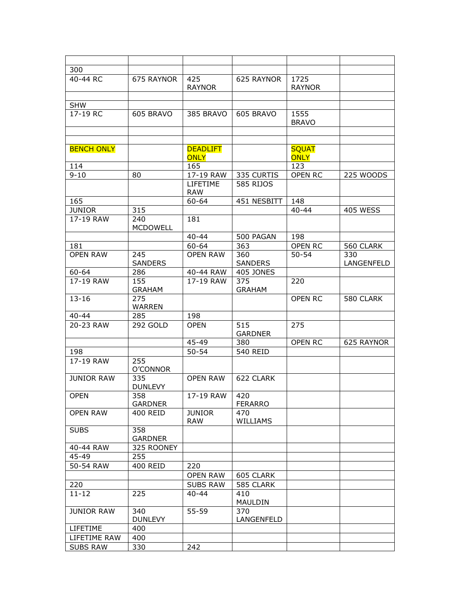| 300               |                        |                                |                       |                             |                   |
|-------------------|------------------------|--------------------------------|-----------------------|-----------------------------|-------------------|
| 40-44 RC          | 675 RAYNOR             | 425<br><b>RAYNOR</b>           | 625 RAYNOR            | 1725<br><b>RAYNOR</b>       |                   |
|                   |                        |                                |                       |                             |                   |
| <b>SHW</b>        |                        |                                |                       |                             |                   |
| 17-19 RC          | 605 BRAVO              | 385 BRAVO                      | 605 BRAVO             | 1555<br><b>BRAVO</b>        |                   |
|                   |                        |                                |                       |                             |                   |
|                   |                        |                                |                       |                             |                   |
| <b>BENCH ONLY</b> |                        | <b>DEADLIFT</b><br><b>ONLY</b> |                       | <b>SQUAT</b><br><b>ONLY</b> |                   |
| 114               |                        | 165                            |                       | 123                         |                   |
| $9 - 10$          | 80                     | 17-19 RAW                      | 335 CURTIS            | OPEN RC                     | 225 WOODS         |
|                   |                        | LIFETIME<br><b>RAW</b>         | 585 RIJOS             |                             |                   |
| 165               |                        | 60-64                          | 451 NESBITT           | 148                         |                   |
| <b>JUNIOR</b>     | 315                    |                                |                       | $40 - 44$                   | <b>405 WESS</b>   |
| 17-19 RAW         | 240<br><b>MCDOWELL</b> | 181                            |                       |                             |                   |
|                   |                        | $40 - 44$                      | 500 PAGAN             | 198                         |                   |
| 181               |                        | $60 - 64$                      | 363                   | OPEN RC                     | 560 CLARK         |
| <b>OPEN RAW</b>   | 245<br><b>SANDERS</b>  | <b>OPEN RAW</b>                | 360<br><b>SANDERS</b> | $\overline{50} - 54$        | 330<br>LANGENFELD |
| 60-64             | 286                    | 40-44 RAW                      | <b>405 JONES</b>      |                             |                   |
| 17-19 RAW         | 155<br><b>GRAHAM</b>   | $\overline{1}$ 7-19 RAW        | 375<br><b>GRAHAM</b>  | 220                         |                   |
| $13 - 16$         | 275<br><b>WARREN</b>   |                                |                       | <b>OPEN RC</b>              | 580 CLARK         |
| $40 - 44$         | 285                    | 198                            |                       |                             |                   |
| 20-23 RAW         | 292 GOLD               | <b>OPEN</b>                    | 515<br><b>GARDNER</b> | 275                         |                   |
|                   |                        | 45-49                          | 380                   | <b>OPEN RC</b>              | 625 RAYNOR        |
| 198               |                        | $50 - 54$                      | <b>540 REID</b>       |                             |                   |
| 17-19 RAW         | 255<br>O'CONNOR        |                                |                       |                             |                   |
| <b>JUNIOR RAW</b> | 335<br><b>DUNLEVY</b>  | <b>OPEN RAW</b>                | 622 CLARK             |                             |                   |
| <b>OPEN</b>       | 358<br>GARDNER         | 17-19 RAW                      | 420<br>FERARRO        |                             |                   |
| <b>OPEN RAW</b>   | 400 REID               | <b>JUNIOR</b><br><b>RAW</b>    | 470<br>WILLIAMS       |                             |                   |
| <b>SUBS</b>       | 358<br><b>GARDNER</b>  |                                |                       |                             |                   |
| 40-44 RAW         | 325 ROONEY             |                                |                       |                             |                   |
| 45-49             | 255                    |                                |                       |                             |                   |
| 50-54 RAW         | <b>400 REID</b>        | 220                            |                       |                             |                   |
|                   |                        | <b>OPEN RAW</b>                | 605 CLARK             |                             |                   |
| 220               |                        | <b>SUBS RAW</b>                | 585 CLARK             |                             |                   |
| $11 - 12$         | 225                    | $40 - 44$                      | 410<br><b>MAULDIN</b> |                             |                   |
| <b>JUNIOR RAW</b> | 340<br><b>DUNLEVY</b>  | 55-59                          | 370<br>LANGENFELD     |                             |                   |
| LIFETIME          | 400                    |                                |                       |                             |                   |
| LIFETIME RAW      | 400                    |                                |                       |                             |                   |
| <b>SUBS RAW</b>   | 330                    | 242                            |                       |                             |                   |